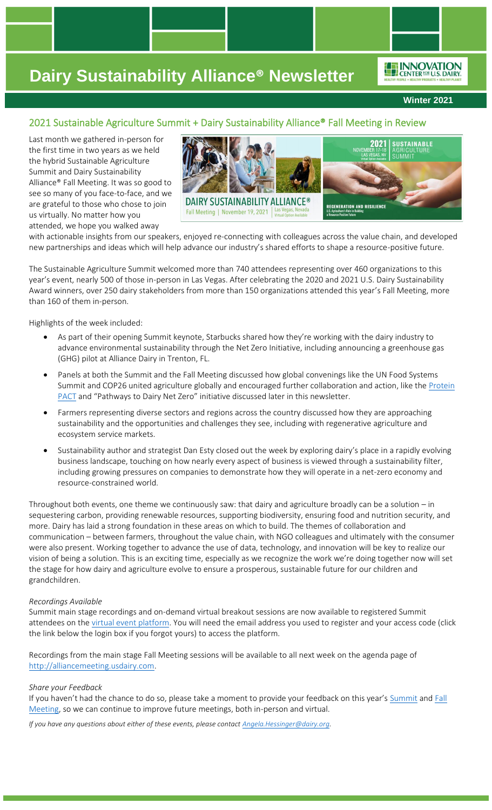**Winter 2021**

## 2021 Sustainable Agriculture Summit + Dairy Sustainability Alliance® Fall Meeting in Review

Last month we gathered in-person for the first time in two years as we held the hybrid Sustainable Agriculture Summit and Dairy Sustainability Alliance® Fall Meeting. It was so good to see so many of you face-to-face, and we are grateful to those who chose to join us virtually. No matter how you attended, we hope you walked away



with actionable insights from our speakers, enjoyed re-connecting with colleagues across the value chain, and developed new partnerships and ideas which will help advance our industry's shared efforts to shape a resource-positive future.

The Sustainable Agriculture Summit welcomed more than 740 attendees representing over 460 organizations to this year's event, nearly 500 of those in-person in Las Vegas. After celebrating the 2020 and 2021 U.S. Dairy Sustainability Award winners, over 250 dairy stakeholders from more than 150 organizations attended this year's Fall Meeting, more than 160 of them in-person.

Highlights of the week included:

- As part of their opening Summit keynote, Starbucks shared how they're working with the dairy industry to advance environmental sustainability through the Net Zero Initiative, including announcing a greenhouse gas (GHG) pilot at Alliance Dairy in Trenton, FL.
- Panels at both the Summit and the Fall Meeting discussed how global convenings like the UN Food Systems Summit and COP26 united agriculture globally and encouraged further collaboration and action, like the Protein [PACT](https://theproteinpact.org/) and "Pathways to Dairy Net Zero" initiative discussed later in this newsletter.
- Farmers representing diverse sectors and regions across the country discussed how they are approaching sustainability and the opportunities and challenges they see, including with regenerative agriculture and ecosystem service markets.
- Sustainability author and strategist Dan Esty closed out the week by exploring dairy's place in a rapidly evolving business landscape, touching on how nearly every aspect of business is viewed through a sustainability filter, including growing pressures on companies to demonstrate how they will operate in a net-zero economy and resource-constrained world.

Throughout both events, one theme we continuously saw: that dairy and agriculture broadly can be a solution – in sequestering carbon, providing renewable resources, supporting biodiversity, ensuring food and nutrition security, and more. Dairy has laid a strong foundation in these areas on which to build. The themes of collaboration and communication – between farmers, throughout the value chain, with NGO colleagues and ultimately with the consumer were also present. Working together to advance the use of data, technology, and innovation will be key to realize our vision of being a solution. This is an exciting time, especially as we recognize the work we're doing together now will set the stage for how dairy and agriculture evolve to ensure a prosperous, sustainable future for our children and grandchildren.

### *Recordings Available*

Summit main stage recordings and on-demand virtual breakout sessions are now available to registered Summit attendees on the [virtual event platform.](https://www.eventscribe.net/2021/SustainableAgSummit/login.asp?utm_source=Sustainable+Ag+Summit&utm_campaign=7900890929-EMAIL_CAMPAIGN_kbygvirtual_COPY_01&utm_medium=email&utm_term=0_16c42a71f0-7900890929-593531729&mc_cid=7900890929&mc_eid=a736b1de49) You will need the email address you used to register and your access code (click the link below the login box if you forgot yours) to access the platform.

Recordings from the main stage Fall Meeting sessions will be available to all next week on the agenda page of [http://alliancemeeting.usdairy.com.](http://alliancemeeting.usdairy.com/)

#### *Share your Feedback*

If you haven't had the chance to do so, please take a moment to provide your feedback on this year's [Summit](https://dairymanagement.qualtrics.com/jfe/form/SV_0APpTZXGbiSVoLY?utm_source=Sustainable+Ag+Summit&utm_campaign=7900890929-EMAIL_CAMPAIGN_kbygvirtual_COPY_01&utm_medium=email&utm_term=0_16c42a71f0-7900890929-593531729&mc_cid=7900890929&mc_eid=a736b1de49) and Fall [Meeting,](https://dairymanagement.qualtrics.com/jfe/form/SV_bBEJPlMI3anMFVQ) so we can continue to improve future meetings, both in-person and virtual.

*If you have any questions about either of these events, please contac[t Angela.Hessinger@dairy.org.](mailto:Angela.Hessinger@dairy.org)*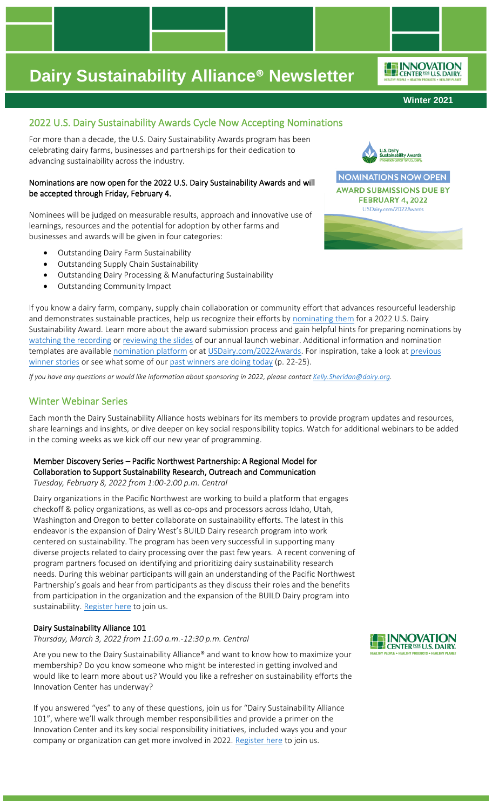#### **Winter 2021**

ENNOVATION

### 2022 U.S. Dairy Sustainability Awards Cycle Now Accepting Nominations

For more than a decade, the U.S. Dairy Sustainability Awards program has been celebrating dairy farms, businesses and partnerships for their dedication to advancing sustainability across the industry.

### Nominations are now open for the 2022 U.S. Dairy Sustainability Awards and will be accepted through Friday, February 4.

Nominees will be judged on measurable results, approach and innovative use of learnings, resources and the potential for adoption by other farms and businesses and awards will be given in four categories:

- Outstanding Dairy Farm Sustainability
- Outstanding Supply Chain Sustainability
- Outstanding Dairy Processing & Manufacturing Sustainability
- Outstanding Community Impact

If you know a dairy farm, company, supply chain collaboration or community effort that advances resourceful leadership and demonstrates sustainable practices, help us recognize their efforts by [nominating them](https://www.abstractscorecard.com/cfp/submit/login.asp?EventKey=OHIWENVC) for a 2022 U.S. Dairy Sustainability Award. Learn more about the award submission process and gain helpful hints for preparing nominations by [watching the recording](https://vimeo.com/656291468/c181a4168d) or [reviewing the slides](https://rosedmi-my.sharepoint.com/:b:/g/personal/angela_hessinger_dairy_org/EWI0S_Yn_9tOivsXcC5xM4wBwZwaiKkI02QCQ3bE9KNscQ?e=ciOLFo) of our annual launch webinar. Additional information and nomination templates are available [nomination](https://www.abstractscorecard.com/cfp/submit/login.asp?EventKey=OHIWENVC) platform or a[t USDairy.com/2022Awards.](http://www.usdairy.com/2022Awards) For inspiration, take a look at previous [winner](http://www.usdairy.com/Awards) stories or see what some of ou[r past winners are doing today](https://www.progressivedairy.com/digital_edition/2021/18/viewer/desktop/#page/24) (p. 22-25).

*If you have any questions or would like information about sponsoring in 2022, please contac[t Kelly.Sheridan@dairy.org.](mailto:Kelly.Sheridan@dairy.org)*

### Winter Webinar Series

Each month the Dairy Sustainability Alliance hosts webinars for its members to provide program updates and resources, share learnings and insights, or dive deeper on key social responsibility topics. Watch for additional webinars to be added in the coming weeks as we kick off our new year of programming.

### Member Discovery Series – Pacific Northwest Partnership: A Regional Model for Collaboration to Support Sustainability Research, Outreach and Communication *Tuesday, February 8, 2022 from 1:00-2:00 p.m. Central*

Dairy organizations in the Pacific Northwest are working to build a platform that engages checkoff & policy organizations, as well as co-ops and processors across Idaho, Utah, Washington and Oregon to better collaborate on sustainability efforts. The latest in this endeavor is the expansion of Dairy West's BUILD Dairy research program into work centered on sustainability. The program has been very successful in supporting many diverse projects related to dairy processing over the past few years. A recent convening of program partners focused on identifying and prioritizing dairy sustainability research needs. During this webinar participants will gain an understanding of the Pacific Northwest Partnership's goals and hear from participants as they discuss their roles and the benefits from participation in the organization and the expansion of the BUILD Dairy program into sustainability. [Register here](https://dairy.zoom.us/webinar/register/WN_YCIYEG_eRdGM50tCorX71A) to join us.

### Dairy Sustainability Alliance 101

*Thursday, March 3, 2022 from 11:00 a.m.-12:30 p.m. Central* 

Are you new to the Dairy Sustainability Alliance® and want to know how to maximize your membership? Do you know someone who might be interested in getting involved and would like to learn more about us? Would you like a refresher on sustainability efforts the Innovation Center has underway?

If you answered "yes" to any of these questions, join us for "Dairy Sustainability Alliance 101", where we'll walk through member responsibilities and provide a primer on the Innovation Center and its key social responsibility initiatives, included ways you and your company or organization can get more involved in 2022[. Register here](https://dairy.zoom.us/webinar/register/WN_A9vTJUinSZmx0BbmSWdHbQ) to join us.



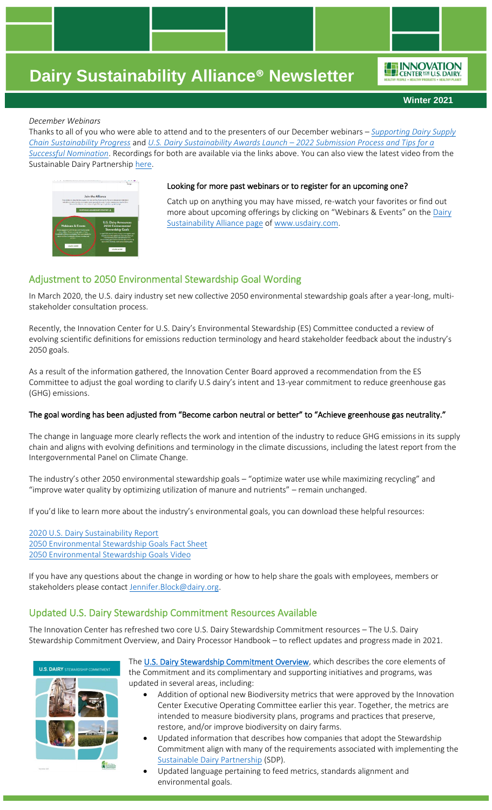**Winter 2021**

ENNOVATION

### *December Webinars*

Thanks to all of you who were able to attend and to the presenters of our December webinars – *[Supporting Dairy Supply](https://vimeo.com/655051300/8e8d6232ac)  Chain [Sustainability Progress](https://vimeo.com/655051300/8e8d6232ac)* and *[U.S. Dairy Sustainability Awards Launch](https://vimeo.com/656291468/c181a4168d) – 2022 Submission Process and Tips for a [Successful Nomination](https://vimeo.com/656291468/c181a4168d)*. Recordings for both are available via the links above. You can also view the latest video from the Sustainable Dairy Partnership [here.](https://youtu.be/aiSK_twc1Vk)



#### Looking for more past webinars or to register for an upcoming one?

Catch up on anything you may have missed, re-watch your favorites or find out more about upcoming offerings by clicking on "Webinars & Events" on the [Dairy](http://www.usdairy.com/sustainabilityalliance)  [Sustainability Alliance page](http://www.usdairy.com/sustainabilityalliance) of [www.usdairy.com.](http://www.usdairy.com/)

### Adjustment to 2050 Environmental Stewardship Goal Wording

In March 2020, the U.S. dairy industry set new collective 2050 environmental stewardship goals after a year-long, multistakeholder consultation process.

Recently, the Innovation Center for U.S. Dairy's Environmental Stewardship (ES) Committee conducted a review of evolving scientific definitions for emissions reduction terminology and heard stakeholder feedback about the industry's 2050 goals.

As a result of the information gathered, the Innovation Center Board approved a recommendation from the ES Committee to adjust the goal wording to clarify U.S dairy's intent and 13-year commitment to reduce greenhouse gas (GHG) emissions.

### The goal wording has been adjusted from "Become carbon neutral or better" to "Achieve greenhouse gas neutrality."

The change in language more clearly reflects the work and intention of the industry to reduce GHG emissions in its supply chain and aligns with evolving definitions and terminology in the climate discussions, including the latest report from the Intergovernmental Panel on Climate Change.

The industry's other 2050 environmental stewardship goals – "optimize water use while maximizing recycling" and "improve water quality by optimizing utilization of manure and nutrients" – remain unchanged.

If you'd like to learn more about the industry's environmental goals, you can download these helpful resources:

[2020 U.S. Dairy Sustainability Report](https://www.usdairy.com/getmedia/52cb4d40-bea5-4b97-86ae-0cf806146a43/US-Dairy-Sustainability-Report-2020-Final.pdf?ext=.pdf) [2050 Environmental Stewardship Goals Fact Sheet](https://www.usdairy.com/getmedia/5dfcdf05-c7bc-40ca-b6d0-a5e74702f20d/Earth-Day-Fact-SheetV10.pdf) [2050 Environmental Stewardship Goals Video](https://nam12.safelinks.protection.outlook.com/?url=https%3A%2F%2Fvimeo.com%2F637170388&data=04%7C01%7Cangela.hessinger%40dairy.org%7C3d581a2fd1d1411b661e08d9bf80516c%7C4a5c3ca3613143b194be00fe342a7c7c%7C0%7C0%7C637751380110810216%7CUnknown%7CTWFpbGZsb3d8eyJWIjoiMC4wLjAwMDAiLCJQIjoiV2luMzIiLCJBTiI6Ik1haWwiLCJXVCI6Mn0%3D%7C3000&sdata=UC8Z7WkEFkixiIUhxAcwtlWwk1AT7SUNTV0ljkZtsO4%3D&reserved=0)

If you have any questions about the change in wording or how to help share the goals with employees, members or stakeholders please contact [Jennifer.Block@dairy.org.](mailto:Jennifer.Block@dairy.org)

### Updated U.S. Dairy Stewardship Commitment Resources Available

The Innovation Center has refreshed two core U.S. Dairy Stewardship Commitment resources – The U.S. Dairy Stewardship Commitment Overview, and Dairy Processor Handbook – to reflect updates and progress made in 2021.



The [U.S. Dairy Stewardship Commitment Overview,](https://www.usdairy.com/getattachment/d6c83ba1-e89f-4c1a-9885-7df66af7a64e/u-s-dairy-stewardship-commitment_nov-2021.pdf?lang=en-US&ext=.pdf) which describes the core elements of the Commitment and its complimentary and supporting initiatives and programs, was updated in several areas, including:

- Addition of optional new Biodiversity metrics that were approved by the Innovation Center Executive Operating Committee earlier this year. Together, the metrics are intended to measure biodiversity plans, programs and practices that preserve, restore, and/or improve biodiversity on dairy farms.
- Updated information that describes how companies that adopt the Stewardship Commitment align with many of the requirements associated with implementing the [Sustainable Dairy Partnership](https://saiplatform.org/sdp/) (SDP).
- Updated language pertaining to feed metrics, standards alignment and environmental goals.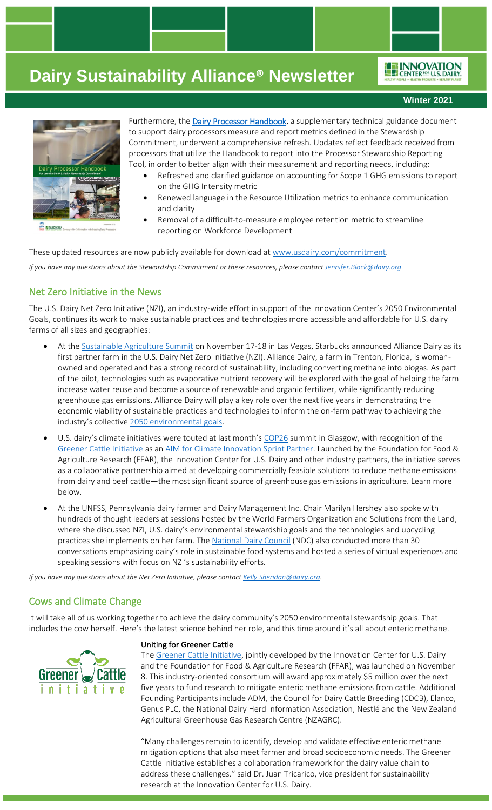ENNOVATION

**Winter 2021**



Furthermore, the [Dairy Processor Handbook,](https://www.usdairy.com/getattachment/fda13ccf-8326-4fa2-9ea7-fc91ba2fa3e0/dairy-processor-handbook_dec2021.pdf?lang=en-US&ext=.pdf) a supplementary technical guidance document to support dairy processors measure and report metrics defined in the Stewardship Commitment, underwent a comprehensive refresh. Updates reflect feedback received from processors that utilize the Handbook to report into the Processor Stewardship Reporting Tool, in order to better align with their measurement and reporting needs, including:

- Refreshed and clarified guidance on accounting for Scope 1 GHG emissions to report on the GHG Intensity metric
- Renewed language in the Resource Utilization metrics to enhance communication and clarity
- Removal of a difficult-to-measure employee retention metric to streamline reporting on Workforce Development

These updated resources are now publicly available for download at [www.usdairy.com/commitment.](http://www.usdairy.com/commitment) *If you have any questions about the Stewardship Commitment or these resources, please contac[t Jennifer.Block@dairy.org.](mailto:Jennifer.Block@dairy.org)* 

### Net Zero Initiative in the News

The U.S. Dairy Net Zero Initiative (NZI), an industry-wide effort in support of the Innovation Center's 2050 Environmental Goals, continues its work to make sustainable practices and technologies more accessible and affordable for U.S. dairy farms of all sizes and geographies:

- At th[e Sustainable Agriculture Summit](https://sustainableagsummit.org/) on November 17-18 in Las Vegas, Starbucks announced Alliance Dairy as its first partner farm in the U.S. Dairy Net Zero Initiative (NZI). Alliance Dairy, a farm in Trenton, Florida, is womanowned and operated and has a strong record of sustainability, including converting methane into biogas. As part of the pilot, technologies such as evaporative nutrient recovery will be explored with the goal of helping the farm increase water reuse and become a source of renewable and organic fertilizer, while significantly reducing greenhouse gas emissions. Alliance Dairy will play a key role over the next five years in demonstrating the economic viability of sustainable practices and technologies to inform the on-farm pathway to achieving the industry's collective [2050 environmental goals.](https://www.usdairy.com/getmedia/5dfcdf05-c7bc-40ca-b6d0-a5e74702f20d/Earth-Day-Fact-SheetV8.pdf)
- U.S. dairy's climate initiatives were touted at last month's [COP26](https://ukcop26.org/) summit in Glasgow, with recognition of the [Greener Cattle Initiative](https://foundationfar.org/consortia/greener-cattle-initiative/) as an [AIM for Climate Innovation Sprint Partner.](https://aimforclimate.org/media/1pkpmxkt/innovation-sprint-factsheet-5-november-2021.pdf) Launched by the Foundation for Food & Agriculture Research (FFAR), the Innovation Center for U.S. Dairy and other industry partners, the initiative serves as a collaborative partnership aimed at developing commercially feasible solutions to reduce methane emissions from dairy and beef cattle—the most significant source of greenhouse gas emissions in agriculture. Learn more below.
- At the UNFSS, Pennsylvania dairy farmer and Dairy Management Inc. Chair Marilyn Hershey also spoke with hundreds of thought leaders at sessions hosted by the World Farmers Organization and Solutions from the Land, where she discussed NZI, U.S. dairy's environmental stewardship goals and the technologies and upcycling practices she implements on her farm. The [National Dairy Council](https://www.usdairy.com/about-us/national-dairy-council) (NDC) also conducted more than 30 conversations emphasizing dairy's role in sustainable food systems and hosted a series of virtual experiences and speaking sessions with focus on NZI's sustainability efforts.

*If you have any questions about the Net Zero Initiative, please contact [Kelly.Sheridan@dairy.org.](mailto:Kelly.Sheridan@dairy.org)* 

### Cows and Climate Change

It will take all of us working together to achieve the dairy community's 2050 environmental stewardship goals. That includes the cow herself. Here's the latest science behind her role, and this time around it's all about enteric methane.



#### Uniting for Greener Cattle

The [Greener Cattle Initiative,](https://foundationfar.org/consortia/greener-cattle-initiative/) jointly developed by the Innovation Center for U.S. Dairy and the Foundation for Food & Agriculture Research (FFAR), was launched on November 8. This industry-oriented consortium will award approximately \$5 million over the next five years to fund research to mitigate enteric methane emissions from cattle. Additional Founding Participants include ADM, the Council for Dairy Cattle Breeding (CDCB), Elanco, Genus PLC, the National Dairy Herd Information Association, Nestlé and the New Zealand Agricultural Greenhouse Gas Research Centre (NZAGRC).

"Many challenges remain to identify, develop and validate effective enteric methane mitigation options that also meet farmer and broad socioeconomic needs. The Greener Cattle Initiative establishes a collaboration framework for the dairy value chain to address these challenges." said Dr. Juan Tricarico, vice president for sustainability research at the Innovation Center for U.S. Dairy.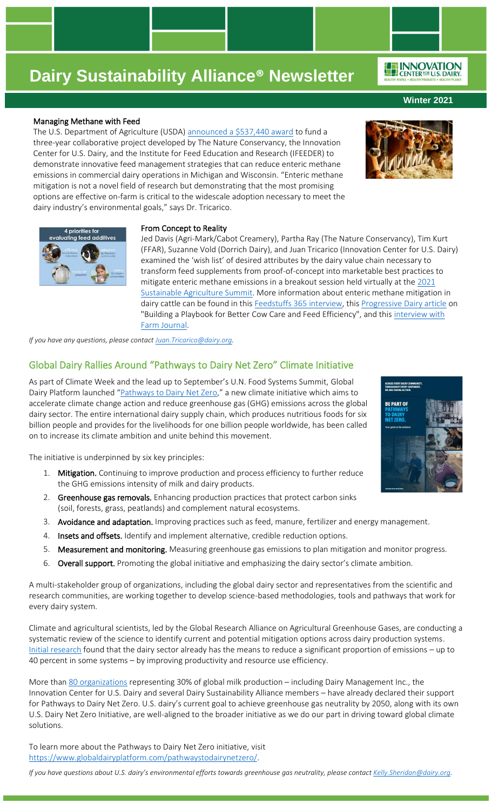#### Managing Methane with Feed

The U.S. Department of Agriculture (USDA) [announced a \\$537,440 award](https://www.dairybusiness.com/usda-funds-collaboration-to-reduce-methane-emissions-in-dairy-operations/) to fund a three-year collaborative project developed by The Nature Conservancy, the Innovation Center for U.S. Dairy, and the Institute for Feed Education and Research (IFEEDER) to demonstrate innovative feed management strategies that can reduce enteric methane emissions in commercial dairy operations in Michigan and Wisconsin. "Enteric methane mitigation is not a novel field of research but demonstrating that the most promising options are effective on-farm is critical to the widescale adoption necessary to meet the dairy industry's environmental goals," says Dr. Tricarico.

### From Concept to Reality

Jed Davis (Agri-Mark/Cabot Creamery), Partha Ray (The Nature Conservancy), Tim Kurt (FFAR), Suzanne Vold (Dorrich Dairy), and Juan Tricarico (Innovation Center for U.S. Dairy) examined the 'wish list' of desired attributes by the dairy value chain necessary to transform feed supplements from proof-of-concept into marketable best practices to mitigate enteric methane emissions in a breakout session held virtually at the 2021 [Sustainable Agriculture Summit.](https://www.eventscribe.net/2021/SustainableAgSummit/login.asp) More information about enteric methane mitigation in dairy cattle can be found in thi[s Feedstuffs 365 interview,](https://vimeo.com/618199894) thi[s Progressive Dairy article](https://www.progressivedairy.com/digital_edition/2021/16/viewer/desktop/#page/106) on "Building a Playbook for Better Cow Care and Feed Efficiency", and this interview with [Farm Journal.](https://www.agweb.com/news/business/conservation/us-dairy-methane-research-trends-qa-dr-juan-tricarico-vp-environmental)

*If you have any questions, please contac[t Juan.Tricarico@dairy.org.](mailto:Juan.Tricarico@dairy.org)*

### Global Dairy Rallies Around "Pathways to Dairy Net Zero" Climate Initiative

As part of Climate Week and the lead up to September's U.N. Food Systems Summit, Global Dairy Platform launched "[Pathways to Dairy Net Zero](https://www.globaldairyplatform.com/pathwaystodairynetzero/)," a new climate initiative which aims to accelerate climate change action and reduce greenhouse gas (GHG) emissions across the global dairy sector. The entire international dairy supply chain, which produces nutritious foods for six billion people and provides for the livelihoods for one billion people worldwide, has been called on to increase its climate ambition and unite behind this movement.

The initiative is underpinned by six key principles:

- 1. Mitigation. Continuing to improve production and process efficiency to further reduce the GHG emissions intensity of milk and dairy products.
- 2. Greenhouse gas removals. Enhancing production practices that protect carbon sinks (soil, forests, grass, peatlands) and complement natural ecosystems.
- 3. Avoidance and adaptation. Improving practices such as feed, manure, fertilizer and energy management.
- 4. Insets and offsets. Identify and implement alternative, credible reduction options.
- 5. Measurement and monitoring. Measuring greenhouse gas emissions to plan mitigation and monitor progress.
- 6. Overall support. Promoting the global initiative and emphasizing the dairy sector's climate ambition.

A multi-stakeholder group of organizations, including the global dairy sector and representatives from the scientific and research communities, are working together to develop science-based methodologies, tools and pathways that work for every dairy system.

Climate and agricultural scientists, led by the Global Research Alliance on Agricultural Greenhouse Gases, are conducting a systematic review of the science to identify current and potential mitigation options across dairy production systems. [Initial research](http://www.fao.org/3/i3437e/i3437e.pdf) found that the dairy sector already has the means to reduce a significant proportion of emissions – up to 40 percent in some systems – by improving productivity and resource use efficiency.

More tha[n 80 organizations](https://rosedmi-my.sharepoint.com/:p:/g/personal/amanda_slusher_globaldairyplatform_com/EQxL_0eeJUtFuzJOXSDWJgwBxe2SxjEIh0qHO4UXFuCGlg?e=Mb4I29&CID=D91790B0-97A7-4A6D-ACE7-D68E361BA4DE&wdLOR=c2F957250-2531-4933-9E0D-C2EC6871F27D) representing 30% of global milk production - including Dairy Management Inc., the Innovation Center for U.S. Dairy and several Dairy Sustainability Alliance members – have already declared their support for Pathways to Dairy Net Zero. U.S. dairy's current goal to achieve greenhouse gas neutrality by 2050, along with its own U.S. Dairy Net Zero Initiative, are well-aligned to the broader initiative as we do our part in driving toward global climate solutions.

To learn more about the Pathways to Dairy Net Zero initiative, visit [https://www.globaldairyplatform.com/pathwaystodairynetzero/.](https://www.globaldairyplatform.com/pathwaystodairynetzero/)

*If you have questions about U.S. dairy's environmental efforts towards greenhouse gas neutrality, please contac[t Kelly.Sheridan@dairy.org.](mailto:Kelly.Sheridan@dairy.org)*







**Winter 2021**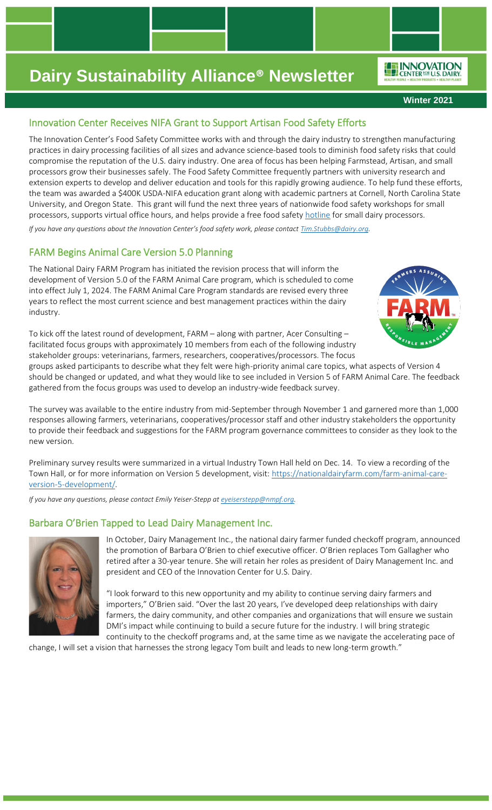**Winter 2021**

ENNOVATION

## Innovation Center Receives NIFA Grant to Support Artisan Food Safety Efforts

The Innovation Center's Food Safety Committee works with and through the dairy industry to strengthen manufacturing practices in dairy processing facilities of all sizes and advance science-based tools to diminish food safety risks that could compromise the reputation of the U.S. dairy industry. One area of focus has been helping Farmstead, Artisan, and small processors grow their businesses safely. The Food Safety Committee frequently partners with university research and extension experts to develop and deliver education and tools for this rapidly growing audience. To help fund these efforts, the team was awarded a \$400K USDA-NIFA education grant along with academic partners at Cornell, North Carolina State University, and Oregon State. This grant will fund the next three years of nationwide food safety workshops for small processors, supports virtual office hours, and helps provide a free food safety [hotline](mailto:Dairyfoodsafetycoach@cornell.edu) for small dairy processors.

*If you have any questions about the Innovation Center's food safety work, please contact [Tim.Stubbs@dairy.org.](mailto:Tim.Stubbs@dairy.org)*

## FARM Begins Animal Care Version 5.0 Planning

The National Dairy FARM Program has initiated the revision process that will inform the development of Version 5.0 of the FARM Animal Care program, which is scheduled to come into effect July 1, 2024. The FARM Animal Care Program standards are revised every three years to reflect the most current science and best management practices within the dairy industry.



To kick off the latest round of development, FARM – along with partner, Acer Consulting – facilitated focus groups with approximately 10 members from each of the following industry stakeholder groups: veterinarians, farmers, researchers, cooperatives/processors. The focus

groups asked participants to describe what they felt were high-priority animal care topics, what aspects of Version 4 should be changed or updated, and what they would like to see included in Version 5 of FARM Animal Care. The feedback gathered from the focus groups was used to develop an industry-wide feedback survey.

The survey was available to the entire industry from mid-September through November 1 and garnered more than 1,000 responses allowing farmers, veterinarians, cooperatives/processor staff and other industry stakeholders the opportunity to provide their feedback and suggestions for the FARM program governance committees to consider as they look to the new version.

Preliminary survey results were summarized in a virtual Industry Town Hall held on Dec. 14. To view a recording of the Town Hall, or for more information on Version 5 development, visit: [https://nationaldairyfarm.com/farm-animal-care](https://nationaldairyfarm.com/farm-animal-care-version-5-development/)[version-5-development/.](https://nationaldairyfarm.com/farm-animal-care-version-5-development/)

*If you have any questions, please contact Emily Yeiser-Stepp at [eyeiserstepp@nmpf.org.](mailto:eyeiserstepp@nmpf.org)*

## Barbara O'Brien Tapped to Lead Dairy Management Inc.



In October, Dairy Management Inc., the national dairy farmer funded checkoff program, announced the promotion of Barbara O'Brien to chief executive officer. O'Brien replaces Tom Gallagher who retired after a 30-year tenure. She will retain her roles as president of Dairy Management Inc. and president and CEO of the Innovation Center for U.S. Dairy.

"I look forward to this new opportunity and my ability to continue serving dairy farmers and importers," O'Brien said. "Over the last 20 years, I've developed deep relationships with dairy farmers, the dairy community, and other companies and organizations that will ensure we sustain DMI's impact while continuing to build a secure future for the industry. I will bring strategic continuity to the checkoff programs and, at the same time as we navigate the accelerating pace of

change, I will set a vision that harnesses the strong legacy Tom built and leads to new long-term growth."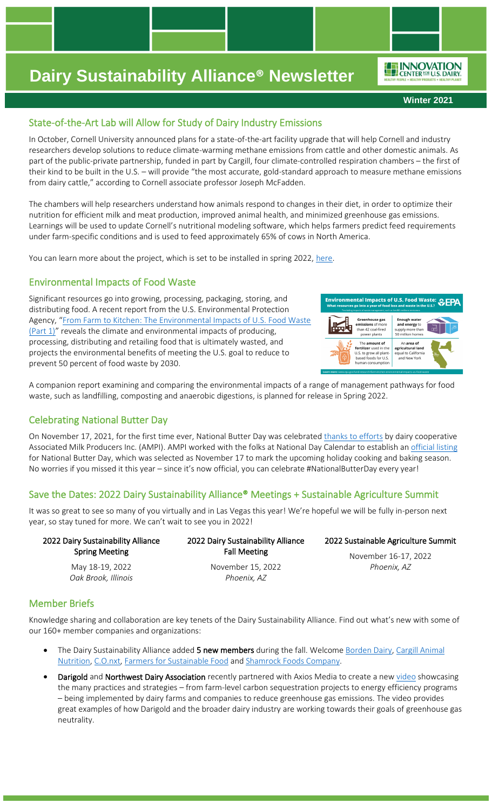**Winter 2021**

ENNOVATION

## State-of-the-Art Lab will Allow for Study of Dairy Industry Emissions

In October, Cornell University announced plans for a state-of-the-art facility upgrade that will help Cornell and industry researchers develop solutions to reduce climate-warming methane emissions from cattle and other domestic animals. As part of the public-private partnership, funded in part by Cargill, four climate-controlled respiration chambers – the first of their kind to be built in the U.S. – will provide "the most accurate, gold-standard approach to measure methane emissions from dairy cattle," according to Cornell associate professor Joseph McFadden.

The chambers will help researchers understand how animals respond to changes in their diet, in order to optimize their nutrition for efficient milk and meat production, improved animal health, and minimized greenhouse gas emissions. Learnings will be used to update Cornell's nutritional modeling software, which helps farmers predict feed requirements under farm-specific conditions and is used to feed approximately 65% of cows in North America.

You can learn more about the project, which is set to be installed in spring 2022, [here.](https://news.cornell.edu/stories/2021/10/upgraded-facility-study-dairy-industry-emissions)

### Environmental Impacts of Food Waste

Significant resources go into growing, processing, packaging, storing, and distributing food. A recent report from the U.S. Environmental Protection Agency, "From Farm to Kitchen: The Environmental Impacts of U.S. Food Waste [\(Part 1\)](https://www.epa.gov/land-research/farm-kitchen-environmental-impacts-us-food-waste)" reveals the climate and environmental impacts of producing, processing, distributing and retailing food that is ultimately wasted, and projects the environmental benefits of meeting the U.S. goal to reduce to prevent 50 percent of food waste by 2030.



A companion report examining and comparing the environmental impacts of a range of management pathways for food waste, such as landfilling, composting and anaerobic digestions, is planned for release in Spring 2022.

### Celebrating National Butter Day

On November 17, 2021, for the first time ever, National Butter Day was celebrated [thanks to efforts](https://www.farmprogress.com/dairy/lets-celebrate-national-butter-day) by dairy cooperative Associated Milk Producers Inc. (AMPI). AMPI worked with the folks at National Day Calendar to establish an [official listing](https://nationaldaycalendar.com/national-butter-day-november-17/) for National Butter Day, which was selected as November 17 to mark the upcoming holiday cooking and baking season. No worries if you missed it this year – since it's now official, you can celebrate #NationalButterDay every year!

### Save the Dates: 2022 Dairy Sustainability Alliance® Meetings + Sustainable Agriculture Summit

It was so great to see so many of you virtually and in Las Vegas this year! We're hopeful we will be fully in-person next year, so stay tuned for more. We can't wait to see you in 2022!

| 2022 Dairy Sustainability Alliance | 2022 Dairy Sustainability Alliance | 2022 Sustainable Agriculture Summit |
|------------------------------------|------------------------------------|-------------------------------------|
| <b>Spring Meeting</b>              | <b>Fall Meeting</b>                | November 16-17, 2022                |
| May 18-19, 2022                    | November 15, 2022                  | Phoenix, AZ                         |
| Oak Brook, Illinois                | Phoenix, AZ                        |                                     |
|                                    |                                    |                                     |

### Member Briefs

Knowledge sharing and collaboration are key tenets of the Dairy Sustainability Alliance. Find out what's new with some of our 160+ member companies and organizations:

- The Dairy Sustainability Alliance added 5 new members during the fall. Welcome [Borden Dairy,](https://www.bordendairy.com/) Cargill Animal [Nutrition,](https://www.cargilldairydreams.com/) [C.O.nxt,](https://co-nxt.com/) [Farmers for Sustainable Food](https://farmersforsustainablefood.com/) and [Shamrock Foods Company.](https://www.shamrockfarms.net/)
- Darigold and Northwest Dairy Association recently partnered with Axios Media to create a new [video](https://www.youtube.com/watch?v=92p8bU3BO1c) showcasing the many practices and strategies – from farm-level carbon sequestration projects to energy efficiency programs – being implemented by dairy farms and companies to reduce greenhouse gas emissions. The video provides great examples of how Darigold and the broader dairy industry are working towards their goals of greenhouse gas neutrality.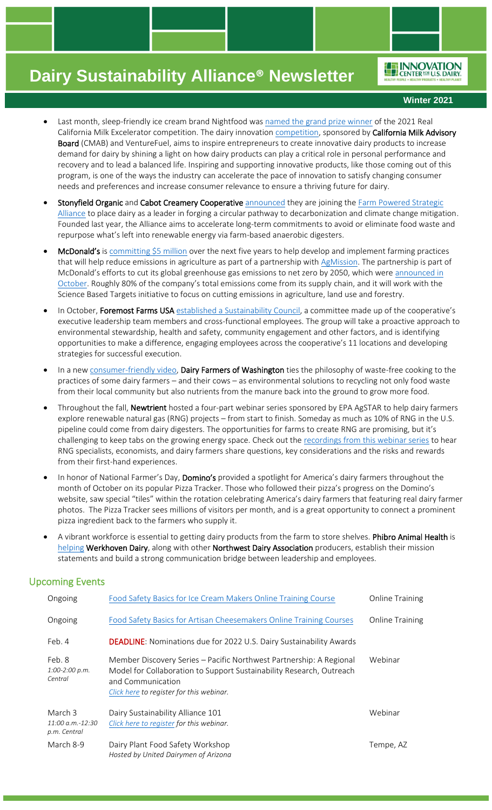ENNOVATION

#### **Winter 2021**

- Last month, sleep-friendly ice cream brand Nightfood was [named the grand prize winner](https://californiadairymagazine.com/2021/11/23/nightfood-wins-real-ca-milk-excelerator-competition-with-sleep-friendly-ice-cream-novelties/) of the 2021 Real California Milk Excelerator competition. The dairy innovatio[n competition,](https://info.venturefuel.net/cmab-excelerator) sponsored by California Milk Advisory Board (CMAB) and VentureFuel, aims to inspire entrepreneurs to create innovative dairy products to increase demand for dairy by shining a light on how dairy products can play a critical role in personal performance and recovery and to lead a balanced life. Inspiring and supporting innovative products, like those coming out of this program, is one of the ways the industry can accelerate the pace of innovation to satisfy changing consumer needs and preferences and increase consumer relevance to ensure a thriving future for dairy.
- Stonyfield Organic and Cabot Creamery Cooperative [announced](https://vermontbiz.com/news/2021/november/04/cabot-stonyfield-take-leadership-role-impacting-climate-change) they are joining the Farm Powered Strategic [Alliance](https://vanguardrenewables.com/fpsa-farm-powered-strategic-alliance/) to place dairy as a leader in forging a circular pathway to decarbonization and climate change mitigation. Founded last year, the Alliance aims to accelerate long-term commitments to avoid or eliminate food waste and repurpose what's left into renewable energy via farm-based anaerobic digesters.
- McDonald's is [committing \\$5 million](https://www.environmentalleader.com/2021/11/mcdonalds-joins-collaboration-to-reduce-agriculture-emissions/) over the next five years to help develop and implement farming practices that will help reduce emissions in agriculture as part of a partnership with [AgMission.](https://foundationfar.org/agmission/) The partnership is part of McDonald's efforts to cut its global greenhouse gas emissions to net zero by 2050, which wer[e announced in](https://www.reuters.com/business/sustainable-business/mcdonalds-targets-net-zero-emissions-by-2050-meat-energy-2021-10-04/)  [October.](https://www.reuters.com/business/sustainable-business/mcdonalds-targets-net-zero-emissions-by-2050-meat-energy-2021-10-04/) Roughly 80% of the company's total emissions come from its supply chain, and it will work with the Science Based Targets initiative to focus on cutting emissions in agriculture, land use and forestry.
- In October, Foremost Farms USA [established a Sustainability Council](https://hoards.com/article-31057-foremost-farms-forms-board-sustainability-committee.html), a committee made up of the cooperative's executive leadership team members and cross-functional employees. The group will take a proactive approach to environmental stewardship, health and safety, community engagement and other factors, and is identifying opportunities to make a difference, engaging employees across the cooperative's 11 locations and developing strategies for successful execution.
- In a new [consumer-friendly video,](https://www.wadairy.org/waste-free-farming-and-cooking/?fbclid=IwAR0tp27Lgg6YNSlyOkKjfiSqwMh-TiSJIzHQL8xgn3QPTRijep7J3Yj9wWg) Dairy Farmers of Washington ties the philosophy of waste-free cooking to the practices of some dairy farmers – and their cows – as environmental solutions to recycling not only food waste from their local community but also nutrients from the manure back into the ground to grow more food.
- Throughout the fall, Newtrient hosted a four-part webinar series sponsored by EPA AgSTAR to help dairy farmers explore renewable natural gas (RNG) projects – from start to finish. Someday as much as 10% of RNG in the U.S. pipeline could come from dairy digesters. The opportunities for farms to create RNG are promising, but it's challenging to keep tabs on the growing energy space. Check out the recordings from [this webinar series](https://myemail.constantcontact.com/Recordings-Available--Webinar-Series-on-Renewable-Natural-Gas--RNG--for-Farms.html?soid=1130073602579&aid=A88TShgPBCc) to hear RNG specialists, economists, and dairy farmers share questions, key considerations and the risks and rewards from their first-hand experiences.
- In honor of National Farmer's Day, Domino's provided a spotlight for America's dairy farmers throughout the month of October on its popular Pizza Tracker. Those who followed their pizza's progress on the Domino's website, saw special "tiles" within the rotation celebrating America's dairy farmers that featuring real dairy farmer photos. The Pizza Tracker sees millions of visitors per month, and is a great opportunity to connect a prominent pizza ingredient back to the farmers who supply it.
- A vibrant workforce is essential to getting dairy products from the farm to store shelves. Phibro Animal Health is [helping](https://www.linkedin.com/posts/darigold_strengthening-the-dairy-workforce-with-phibro-activity-6838199675309441024-y8K7/) Werkhoven Dairy, along with other Northwest Dairy Association producers, establish their mission statements and build a strong communication bridge between leadership and employees.

### Upcoming Events

| Ongoing                                       | Food Safety Basics for Ice Cream Makers Online Training Course                                                                                                                                               | <b>Online Training</b> |
|-----------------------------------------------|--------------------------------------------------------------------------------------------------------------------------------------------------------------------------------------------------------------|------------------------|
| Ongoing                                       | Food Safety Basics for Artisan Cheesemakers Online Training Courses                                                                                                                                          | <b>Online Training</b> |
| Feb. 4                                        | <b>DEADLINE:</b> Nominations due for 2022 U.S. Dairy Sustainability Awards                                                                                                                                   |                        |
| Feb. 8<br>$1:00-2:00 p.m.$<br>Central         | Member Discovery Series - Pacific Northwest Partnership: A Regional<br>Model for Collaboration to Support Sustainability Research, Outreach<br>and Communication<br>Click here to register for this webinar. | Webinar                |
| March 3<br>$11:00 a.m.-12:30$<br>p.m. Central | Dairy Sustainability Alliance 101<br>Click here to register for this webinar.                                                                                                                                | Webinar                |
| March 8-9                                     | Dairy Plant Food Safety Workshop<br>Hosted by United Dairymen of Arizona                                                                                                                                     | Tempe, AZ              |